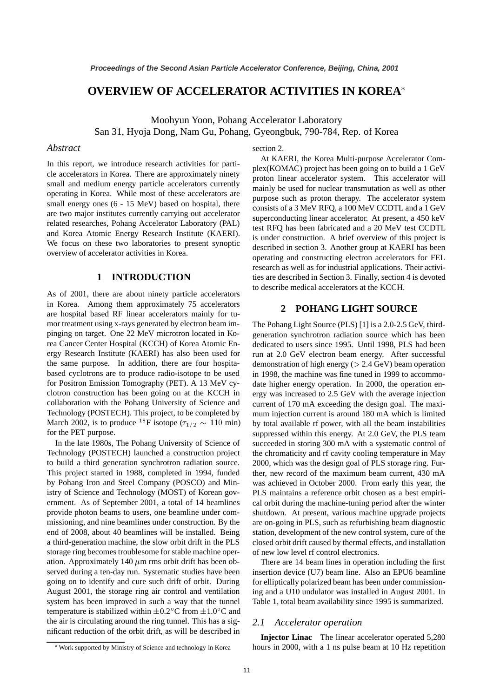# **OVERVIEW OF ACCELERATOR ACTIVITIES IN KOREA**

Moohyun Yoon, Pohang Accelerator Laboratory San 31, Hyoja Dong, Nam Gu, Pohang, Gyeongbuk, 790-784, Rep. of Korea

#### *Abstract*

In this report, we introduce research activities for particle accelerators in Korea. There are approximately ninety small and medium energy particle accelerators currently operating in Korea. While most of these accelerators are small energy ones (6 - 15 MeV) based on hospital, there are two major institutes currently carrying out accelerator related researches, Pohang Accelerator Laboratory (PAL) and Korea Atomic Energy Research Institute (KAERI). We focus on these two laboratories to present synoptic overview of accelerator activities in Korea.

### **1 INTRODUCTION**

As of 2001, there are about ninety particle accelerators in Korea. Among them approximately 75 accelerators are hospital based RF linear accelerators mainly for tumor treatment using x-rays generated by electron beam impinging on target. One 22 MeV microtron located in Korea Cancer Center Hospital (KCCH) of Korea Atomic Energy Research Institute (KAERI) has also been used for the same purpose. In addition, there are four hospitabased cyclotrons are to produce radio-isotope to be used for Positron Emission Tomography (PET). A 13 MeV cyclotron construction has been going on at the KCCH in collaboration with the Pohang University of Science and Technology (POSTECH). This project, to be completed by March 2002, is to produce <sup>18</sup>F isotope ( $\tau_{1/2} \sim 110 \text{ min}$ ) 1 for the PET purpose.

In the late 1980s, The Pohang University of Science of Technology (POSTECH) launched a construction project to build a third generation synchrotron radiation source. This project started in 1988, completed in 1994, funded by Pohang Iron and Steel Company (POSCO) and Ministry of Science and Technology (MOST) of Korean government. As of September 2001, a total of 14 beamlines provide photon beams to users, one beamline under commissioning, and nine beamlines under construction. By the end of 2008, about 40 beamlines will be installed. Being a third-generation machine, the slow orbit drift in the PLS storage ring becomes troublesome for stable machine operation. Approximately 140  $\mu$ m rms orbit drift has been observed during a ten-day run. Systematic studies have been going on to identify and cure such drift of orbit. During August 2001, the storage ring air control and ventilation system has been improved in such a way that the tunnel temperature is stabilized within  $\pm 0.2^{\circ}$ C from  $\pm 1.0^{\circ}$ C and the air is circulating around the ring tunnel. This has a significant reduction of the orbit drift, as will be described in

#### section 2.

At KAERI, the Korea Multi-purpose Accelerator Complex(KOMAC) project has been going on to build a 1 GeV proton linear accelerator system. This accelerator will mainly be used for nuclear transmutation as well as other purpose such as proton therapy. The accelerator system consists of a 3 MeV RFQ, a 100 MeV CCDTL and a 1 GeV superconducting linear accelerator. At present, a 450 keV test RFQ has been fabricated and a 20 MeV test CCDTL is under construction. A brief overview of this project is described in section 3. Another group at KAERI has been operating and constructing electron accelerators for FEL research as well as for industrial applications. Their activities are described in Section 3. Finally, section 4 is devoted to describe medical accelerators at the KCCH.

### **2 POHANG LIGHT SOURCE**

The Pohang Light Source (PLS) [1] is a 2.0-2.5 GeV, thirdgeneration synchrotron radiation source which has been dedicated to users since 1995. Until 1998, PLS had been run at 2.0 GeV electron beam energy. After successful demonstration of high energy ( $> 2.4$  GeV) beam operation in 1998, the machine was fine tuned in 1999 to accommodate higher energy operation. In 2000, the operation energy was increased to 2.5 GeV with the average injection current of 170 mA exceeding the design goal. The maximum injection current is around 180 mA which is limited by total available rf power, with all the beam instabilities suppressed within this energy. At 2.0 GeV, the PLS team succeeded in storing 300 mA with a systematic control of the chromaticity and rf cavity cooling temperature in May 2000, which was the design goal of PLS storage ring. Further, new record of the maximum beam current, 430 mA was achieved in October 2000. From early this year, the PLS maintains a reference orbit chosen as a best empirical orbit during the machine-tuning period after the winter shutdown. At present, various machine upgrade projects are on-going in PLS, such as refurbishing beam diagnostic station, development of the new control system, cure of the closed orbit drift caused by thermal effects, and installation of new low level rf control electronics.

There are 14 beam lines in operation including the first insertion device (U7) beam line. Also an EPU6 beamline for elliptically polarized beam has been under commissioning and a U10 undulator was installed in August 2001. In Table 1, total beam availability since 1995 is summarized.

#### *2.1 Accelerator operation*

**Injector Linac** The linear accelerator operated 5,280 hours in 2000, with a 1 ns pulse beam at 10 Hz repetition

Work supported by Ministry of Science and technology in Korea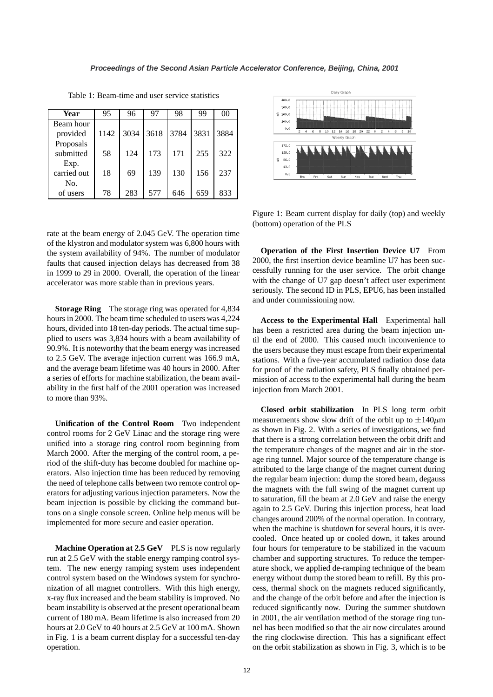| Year        | 95   | 96   | 97   | 98   | 99   | 00   |
|-------------|------|------|------|------|------|------|
| Beam hour   |      |      |      |      |      |      |
| provided    | 1142 | 3034 | 3618 | 3784 | 3831 | 3884 |
| Proposals   |      |      |      |      |      |      |
| submitted   | 58   | 124  | 173  | 171  | 255  | 322  |
| Exp.        |      |      |      |      |      |      |
| carried out | 18   | 69   | 139  | 130  | 156  | 237  |
| No.         |      |      |      |      |      |      |
| of users    | 78   | 283  | 577  | 646  | 659  | 833  |

Table 1: Beam-time and user service statistics

rate at the beam energy of 2.045 GeV. The operation time of the klystron and modulator system was 6,800 hours with the system availability of 94%. The number of modulator faults that caused injection delays has decreased from 38 in 1999 to 29 in 2000. Overall, the operation of the linear accelerator was more stable than in previous years.

**Storage Ring** The storage ring was operated for 4,834 hours in 2000. The beam time scheduled to users was 4,224 hours, divided into 18 ten-day periods. The actual time supplied to users was 3,834 hours with a beam availability of 90.9%. It is noteworthy that the beam energy was increased to 2.5 GeV. The average injection current was 166.9 mA, and the average beam lifetime was 40 hours in 2000. After a series of efforts for machine stabilization, the beam availability in the first half of the 2001 operation was increased to more than 93%.

**Unification of the Control Room** Two independent control rooms for 2 GeV Linac and the storage ring were unified into a storage ring control room beginning from March 2000. After the merging of the control room, a period of the shift-duty has become doubled for machine operators. Also injection time has been reduced by removing the need of telephone calls between two remote control operators for adjusting various injection parameters. Now the beam injection is possible by clicking the command buttons on a single console screen. Online help menus will be implemented for more secure and easier operation.

**Machine Operation at 2.5 GeV** PLS is now regularly run at 2.5 GeV with the stable energy ramping control system. The new energy ramping system uses independent control system based on the Windows system for synchronization of all magnet controllers. With this high energy, x-ray flux increased and the beam stability is improved. No beam instability is observed at the present operational beam current of 180 mA. Beam lifetime is also increased from 20 hours at 2.0 GeV to 40 hours at 2.5 GeV at 100 mA. Shown in Fig. 1 is a beam current display for a successful ten-day operation.



Figure 1: Beam current display for daily (top) and weekly (bottom) operation of the PLS

**Operation of the First Insertion Device U7** From 2000, the first insertion device beamline U7 has been successfully running for the user service. The orbit change with the change of U7 gap doesn't affect user experiment seriously. The second ID in PLS, EPU6, has been installed and under commissioning now.

**Access to the Experimental Hall** Experimental hall has been a restricted area during the beam injection until the end of 2000. This caused much inconvenience to the users because they must escape from their experimental stations. With a five-year accumulated radiation dose data for proof of the radiation safety, PLS finally obtained permission of access to the experimental hall during the beam injection from March 2001.

**Closed orbit stabilization** In PLS long term orbit measurements show slow drift of the orbit up to  $\pm 140 \mu m$ as shown in Fig. 2. With a series of investigations, we find that there is a strong correlation between the orbit drift and the temperature changes of the magnet and air in the storage ring tunnel. Major source of the temperature change is attributed to the large change of the magnet current during the regular beam injection: dump the stored beam, degauss the magnets with the full swing of the magnet current up to saturation, fill the beam at 2.0 GeV and raise the energy again to 2.5 GeV. During this injection process, heat load changes around 200% of the normal operation. In contrary, when the machine is shutdown for several hours, it is overcooled. Once heated up or cooled down, it takes around four hours for temperature to be stabilized in the vacuum chamber and supporting structures. To reduce the temperature shock, we applied de-ramping technique of the beam energy without dump the stored beam to refill. By this process, thermal shock on the magnets reduced significantly, and the change of the orbit before and after the injection is reduced significantly now. During the summer shutdown in 2001, the air ventilation method of the storage ring tunnel has been modified so that the air now circulates around the ring clockwise direction. This has a significant effect on the orbit stabilization as shown in Fig. 3, which is to be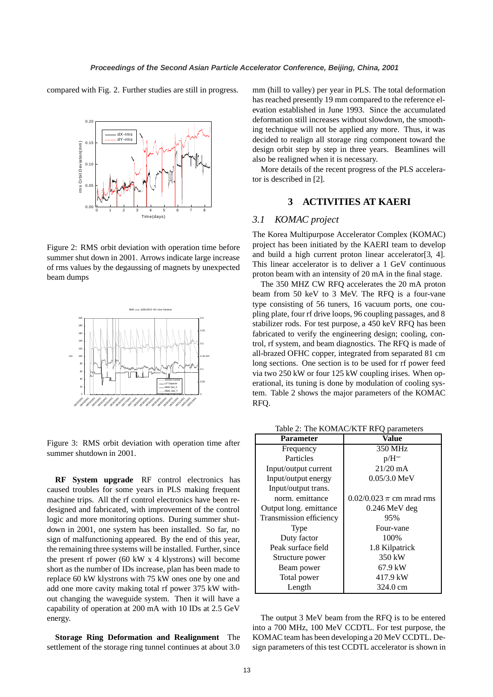compared with Fig. 2. Further studies are still in progress.



Figure 2: RMS orbit deviation with operation time before summer shut down in 2001. Arrows indicate large increase of rms values by the degaussing of magnets by unexpected beam dumps



Figure 3: RMS orbit deviation with operation time after summer shutdown in 2001.

**RF System upgrade** RF control electronics has caused troubles for some years in PLS making frequent machine trips. All the rf control electronics have been redesigned and fabricated, with improvement of the control logic and more monitoring options. During summer shutdown in 2001, one system has been installed. So far, no sign of malfunctioning appeared. By the end of this year, the remaining three systems will be installed. Further, since the present rf power (60 kW x 4 klystrons) will become short as the number of IDs increase, plan has been made to replace 60 kW klystrons with 75 kW ones one by one and add one more cavity making total rf power 375 kW without changing the waveguide system. Then it will have a capability of operation at 200 mA with 10 IDs at 2.5 GeV energy.

**Storage Ring Deformation and Realignment** The settlement of the storage ring tunnel continues at about 3.0

mm (hill to valley) per year in PLS. The total deformation has reached presently 19 mm compared to the reference elevation established in June 1993. Since the accumulated deformation still increases without slowdown, the smoothing technique will not be applied any more. Thus, it was decided to realign all storage ring component toward the design orbit step by step in three years. Beamlines will also be realigned when it is necessary.

More details of the recent progress of the PLS accelerator is described in [2].

## **3 ACTIVITIES AT KAERI**

### *3.1 KOMAC project*

The Korea Multipurpose Accelerator Complex (KOMAC) project has been initiated by the KAERI team to develop and build a high current proton linear accelerator[3, 4]. This linear accelerator is to deliver a 1 GeV continuous proton beam with an intensity of 20 mA in the final stage.

The 350 MHZ CW RFQ accelerates the 20 mA proton beam from 50 keV to 3 MeV. The RFQ is a four-vane type consisting of 56 tuners, 16 vacuum ports, one coupling plate, four rf drive loops, 96 coupling passages, and 8 stabilizer rods. For test purpose, a 450 keV RFQ has been fabricated to verify the engineering design; cooling, control, rf system, and beam diagnostics. The RFQ is made of all-brazed OFHC copper, integrated from separated 81 cm long sections. One section is to be used for rf power feed via two 250 kW or four 125 kW coupling irises. When operational, its tuning is done by modulation of cooling system. Table 2 shows the major parameters of the KOMAC RFQ.

Table 2: The KOMAC/KTF RFQ parameters

| <b>Parameter</b>        | Value                        |  |
|-------------------------|------------------------------|--|
| Frequency               | 350 MHz                      |  |
| Particles               | $p/H^-$                      |  |
| Input/output current    | $21/20$ mA                   |  |
| Input/output energy     | $0.05/3.0 \,\text{MeV}$      |  |
| Input/output trans.     |                              |  |
| norm. emittance         | 0.02/0.023 $\pi$ cm mrad rms |  |
| Output long. emittance  | $0.246$ MeV deg              |  |
| Transmission efficiency | 95%                          |  |
| Type                    | Four-vane                    |  |
| Duty factor             | 100%                         |  |
| Peak surface field      | 1.8 Kilpatrick               |  |
| Structure power         | 350 kW                       |  |
| Beam power              | 67.9 kW                      |  |
| Total power             | 417.9 kW                     |  |
| Length                  | 324.0 cm                     |  |

The output 3 MeV beam from the RFQ is to be entered into a 700 MHz, 100 MeV CCDTL. For test purpose, the KOMAC team has been developing a 20 MeV CCDTL. Design parameters of this test CCDTL accelerator is shown in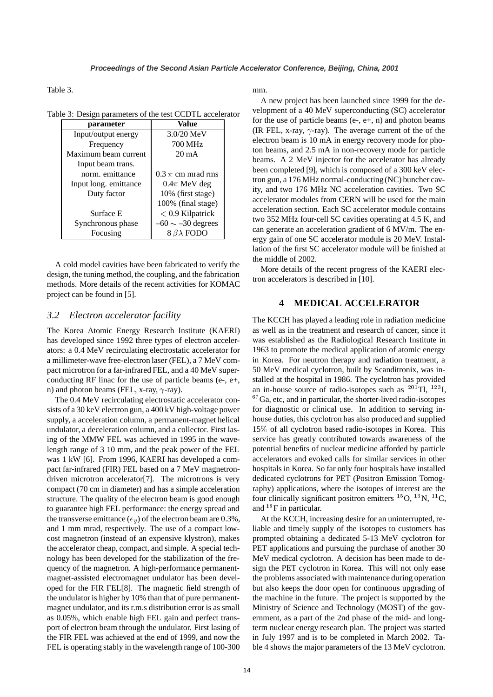Table 3.

|  |  |  |  |  |  | Table 3: Design parameters of the test CCDTL accelerator |
|--|--|--|--|--|--|----------------------------------------------------------|
|--|--|--|--|--|--|----------------------------------------------------------|

| parameter             | Value                  |  |
|-----------------------|------------------------|--|
| Input/output energy   | 3.0/20 MeV             |  |
| Frequency             | 700 MHz                |  |
| Maximum beam current  | $20 \text{ mA}$        |  |
| Input beam trans.     |                        |  |
| norm, emittance       | 0.3 $\pi$ cm mrad rms  |  |
| Input long. emittance | $0.4\pi$ MeV deg       |  |
| Duty factor           | 10% (first stage)      |  |
|                       | 100% (final stage)     |  |
| Surface E             | $< 0.9$ Kilpatrick     |  |
| Synchronous phase     | $-60 \sim -30$ degrees |  |
| Focusing              | $8 \beta\lambda$ FODO  |  |

A cold model cavities have been fabricated to verify the design, the tuning method, the coupling, and the fabrication methods. More details of the recent activities for KOMAC project can be found in [5].

### *3.2 Electron accelerator facility*

The Korea Atomic Energy Research Institute (KAERI) has developed since 1992 three types of electron accelerators: a 0.4 MeV recirculating electrostatic accelerator for a millimeter-wave free-electron laser (FEL), a 7 MeV compact microtron for a far-infrared FEL, and a 40 MeV superconducting RF linac for the use of particle beams (e-, e+, n) and photon beams (FEL, x-ray,  $\gamma$ -ray).

The 0.4 MeV recirculating electrostatic accelerator consists of a 30 keV electron gun, a 400 kV high-voltage power supply, a acceleration column, a permanent-magnet helical undulator, a deceleration column, and a collector. First lasing of the MMW FEL was achieved in 1995 in the wavelength range of 3 10 mm, and the peak power of the FEL was 1 kW [6]. From 1996, KAERI has developed a compact far-infrared (FIR) FEL based on a 7 MeV magnetrondriven microtron accelerator[7]. The microtrons is very compact (70 cm in diameter) and has a simple acceleration structure. The quality of the electron beam is good enough to guarantee high FEL performance: the energy spread and the transverse emittance ( $\epsilon_y$ ) of the electron beam are 0.3%, and 1 mm mrad, respectively. The use of a compact lowcost magnetron (instead of an expensive klystron), makes the accelerator cheap, compact, and simple. A special technology has been developed for the stabilization of the frequency of the magnetron. A high-performance permanentmagnet-assisted electromagnet undulator has been developed for the FIR FEL[8]. The magnetic field strength of the undulator is higher by 10% than that of pure permanentmagnet undulator, and its r.m.s distribution error is as small as 0.05%, which enable high FEL gain and perfect transport of electron beam through the undulator. First lasing of the FIR FEL was achieved at the end of 1999, and now the FEL is operating stably in the wavelength range of 100-300 mm.

A new project has been launched since 1999 for the development of a 40 MeV superconducting (SC) accelerator for the use of particle beams  $(e-, e+, n)$  and photon beams (IR FEL, x-ray,  $\gamma$ -ray). The average current of the of the electron beam is 10 mA in energy recovery mode for photon beams, and 2.5 mA in non-recovery mode for particle beams. A 2 MeV injector for the accelerator has already been completed [9], which is composed of a 300 keV electron gun, a 176 MHz normal-conducting (NC) buncher cavity, and two 176 MHz NC acceleration cavities. Two SC accelerator modules from CERN will be used for the main acceleration section. Each SC accelerator module contains two 352 MHz four-cell SC cavities operating at 4.5 K, and can generate an acceleration gradient of 6 MV/m. The energy gain of one SC accelerator module is 20 MeV. Installation of the first SC accelerator module will be finished at the middle of 2002.

More details of the recent progress of the KAERI electron accelerators is described in [10].

### **4 MEDICAL ACCELERATOR**

The KCCH has played a leading role in radiation medicine as well as in the treatment and research of cancer, since it was established as the Radiological Research Institute in 1963 to promote the medical application of atomic energy in Korea. For neutron therapy and radiation treatment, a 50 MeV medical cyclotron, built by Scanditronix, was installed at the hospital in 1986. The cyclotron has provided an in-house source of radio-isotopes such as  $^{201}$ Tl,  $^{123}$ I,  $67$  Ga, etc, and in particular, the shorter-lived radio-isotopes for diagnostic or clinical use. In addition to serving inhouse duties, this cyclotron has also produced and supplied  $15\%$  of all cyclotron based radio-isotopes in Korea. This service has greatly contributed towards awareness of the potential benefits of nuclear medicine afforded by particle accelerators and evoked calls for similar services in other hospitals in Korea. So far only four hospitals have installed dedicated cyclotrons for PET (Positron Emission Tomography) applications, where the isotopes of interest are the four clinically significant positron emitters  $^{15}O$ ,  $^{13}N$ ,  $^{11}C$ , and  $^{18}$ F in particular.

At the KCCH, increasing desire for an uninterrupted, reliable and timely supply of the isotopes to customers has prompted obtaining a dedicated 5-13 MeV cyclotron for PET applications and pursuing the purchase of another 30 MeV medical cyclotron. A decision has been made to design the PET cyclotron in Korea. This will not only ease the problems associated with maintenance during operation but also keeps the door open for continuous upgrading of the machine in the future. The project is supported by the Ministry of Science and Technology (MOST) of the government, as a part of the 2nd phase of the mid- and longterm nuclear energy research plan. The project was started in July 1997 and is to be completed in March 2002. Table 4 shows the major parameters of the 13 MeV cyclotron.